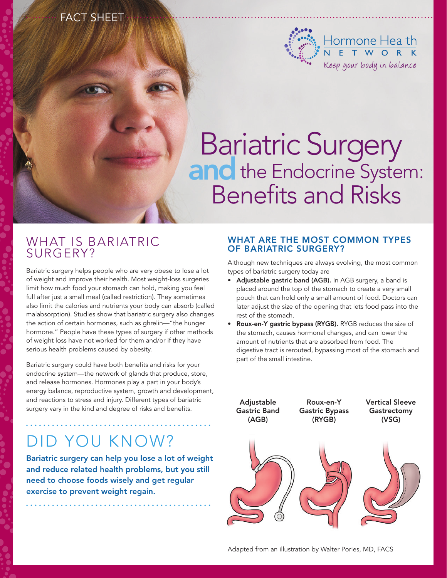# FACT SHEET



# and Bariatric Surgery **Inc** the Endocrine System: Benefits and Risks

## WHAT IS BARIATRIC surgery?

Bariatric surgery helps people who are very obese to lose a lot of weight and improve their health. Most weight-loss surgeries limit how much food your stomach can hold, making you feel full after just a small meal (called restriction). They sometimes also limit the calories and nutrients your body can absorb (called malabsorption). Studies show that bariatric surgery also changes the action of certain hormones, such as ghrelin—"the hunger hormone." People have these types of surgery if other methods of weight loss have not worked for them and/or if they have serious health problems caused by obesity.

Bariatric surgery could have both benefits and risks for your endocrine system—the network of glands that produce, store, and release hormones. Hormones play a part in your body's energy balance, reproductive system, growth and development, and reactions to stress and injury. Different types of bariatric surgery vary in the kind and degree of risks and benefits.

# Did you know?

Bariatric surgery can help you lose a lot of weight and reduce related health problems, but you still need to choose foods wisely and get regular exercise to prevent weight regain.

## WHAT ARE THE MOST COMMON TYPES of bariatric surgery?

Although new techniques are always evolving, the most common types of bariatric surgery today are

- Adjustable gastric band (AGB). In AGB surgery, a band is placed around the top of the stomach to create a very small pouch that can hold only a small amount of food. Doctors can later adjust the size of the opening that lets food pass into the rest of the stomach.
- Roux-en-Y gastric bypass (RYGB). RYGB reduces the size of the stomach, causes hormonal changes, and can lower the amount of nutrients that are absorbed from food. The digestive tract is rerouted, bypassing most of the stomach and part of the small intestine.